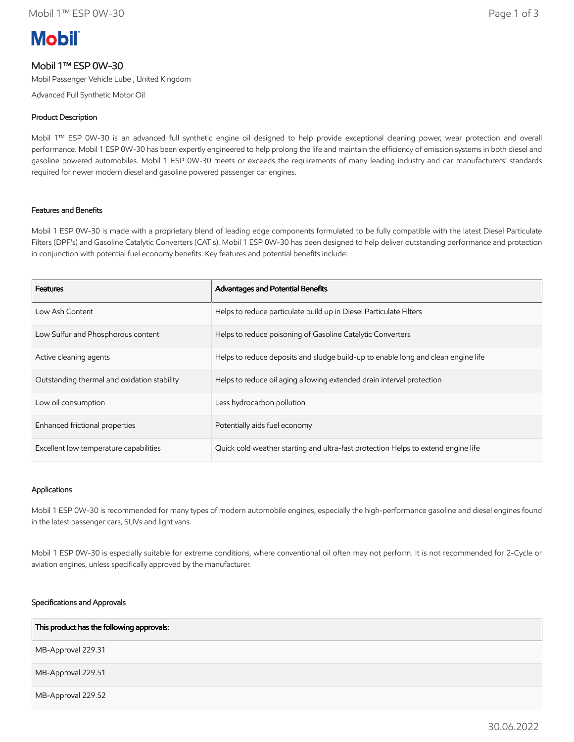# **Mobil**

### Mobil 1™ ESP 0W-30

Mobil Passenger Vehicle Lube , United Kingdom

Advanced Full Synthetic Motor Oil

#### Product Description

Mobil 1™ ESP 0W-30 is an advanced full synthetic engine oil designed to help provide exceptional cleaning power, wear protection and overall performance. Mobil 1 ESP 0W-30 has been expertly engineered to help prolong the life and maintain the efficiency of emission systems in both diesel and gasoline powered automobiles. Mobil 1 ESP 0W-30 meets or exceeds the requirements of many leading industry and car manufacturers' standards required for newer modern diesel and gasoline powered passenger car engines.

#### Features and Benefits

Mobil 1 ESP 0W-30 is made with a proprietary blend of leading edge components formulated to be fully compatible with the latest Diesel Particulate Filters (DPF's) and Gasoline Catalytic Converters (CAT's). Mobil 1 ESP 0W-30 has been designed to help deliver outstanding performance and protection in conjunction with potential fuel economy benefits. Key features and potential benefits include:

| <b>Features</b>                             | Advantages and Potential Benefits                                                 |
|---------------------------------------------|-----------------------------------------------------------------------------------|
| Low Ash Content                             | Helps to reduce particulate build up in Diesel Particulate Filters                |
| Low Sulfur and Phosphorous content          | Helps to reduce poisoning of Gasoline Catalytic Converters                        |
| Active cleaning agents                      | Helps to reduce deposits and sludge build-up to enable long and clean engine life |
| Outstanding thermal and oxidation stability | Helps to reduce oil aging allowing extended drain interval protection             |
| Low oil consumption                         | Less hydrocarbon pollution                                                        |
| Enhanced frictional properties              | Potentially aids fuel economy                                                     |
| Excellent low temperature capabilities      | Quick cold weather starting and ultra-fast protection Helps to extend engine life |

#### Applications

Mobil 1 ESP 0W-30 is recommended for many types of modern automobile engines, especially the high-performance gasoline and diesel engines found in the latest passenger cars, SUVs and light vans.

Mobil 1 ESP 0W-30 is especially suitable for extreme conditions, where conventional oil often may not perform. It is not recommended for 2-Cycle or aviation engines, unless specifically approved by the manufacturer.

#### Specifications and Approvals

| This product has the following approvals: |  |
|-------------------------------------------|--|
| MB-Approval 229.31                        |  |
| MB-Approval 229.51                        |  |
| MB-Approval 229.52                        |  |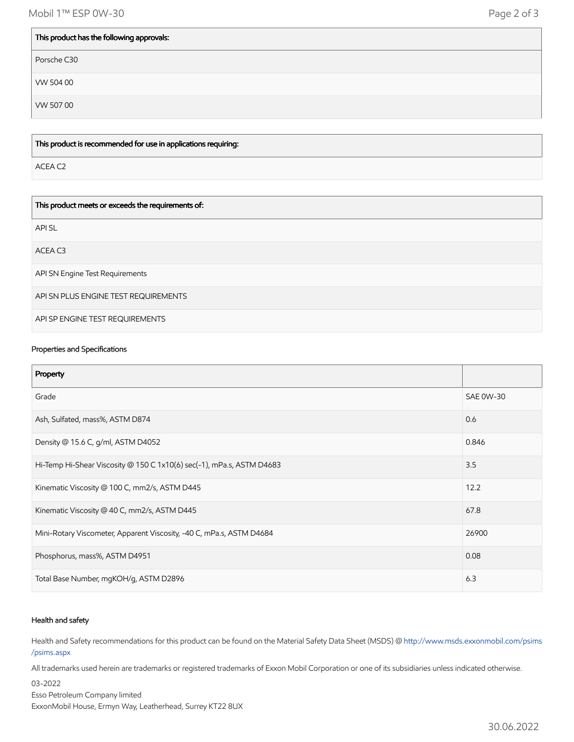Mobil 1™ ESP 0W-30 Page 2 of 3

 $\blacksquare$ 

| This product has the following approvals: |  |
|-------------------------------------------|--|
| Porsche C30                               |  |
| VW 504 00                                 |  |
| VW 50700                                  |  |

This product is recommended for use in applications requiring:

ACEA C2

 $\mathbf{I}$ 

| This product meets or exceeds the requirements of: |
|----------------------------------------------------|
| API SL                                             |
| ACEA C3                                            |
| API SN Engine Test Requirements                    |
| API SN PLUS ENGINE TEST REQUIREMENTS               |
| API SP ENGINE TEST REQUIREMENTS                    |

#### Properties and Specifications

| Property                                                              |                  |
|-----------------------------------------------------------------------|------------------|
| Grade                                                                 | <b>SAE 0W-30</b> |
| Ash, Sulfated, mass%, ASTM D874                                       | 0.6              |
| Density @ 15.6 C, g/ml, ASTM D4052                                    | 0.846            |
| Hi-Temp Hi-Shear Viscosity @ 150 C 1x10(6) sec(-1), mPa.s, ASTM D4683 | 3.5              |
| Kinematic Viscosity @ 100 C, mm2/s, ASTM D445                         | 12.2             |
| Kinematic Viscosity @ 40 C, mm2/s, ASTM D445                          | 67.8             |
| Mini-Rotary Viscometer, Apparent Viscosity, -40 C, mPa.s, ASTM D4684  | 26900            |
| Phosphorus, mass%, ASTM D4951                                         | 0.08             |
| Total Base Number, mgKOH/g, ASTM D2896                                | 6.3              |

#### Health and safety

Health and Safety recommendations for this product can be found on the Material Safety Data Sheet (MSDS) @ [http://www.msds.exxonmobil.com/psims](http://www.msds.exxonmobil.com/psims/psims.aspx) /psims.aspx

All trademarks used herein are trademarks or registered trademarks of Exxon Mobil Corporation or one of its subsidiaries unless indicated otherwise.

03-2022 Esso Petroleum Company limited ExxonMobil House, Ermyn Way, Leatherhead, Surrey KT22 8UX